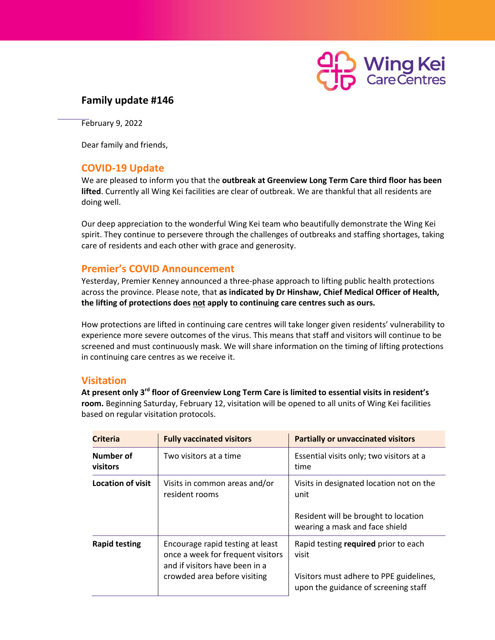

## **Family update #146**

February 9, 2022

Dear family and friends,

### **COVID-19 Update**

We are pleased to inform you that the **outbreak at Greenview Long Term Care third floor has been lifted**. Currently all Wing Kei facilities are clear of outbreak. We are thankful that all residents are doing well.

Our deep appreciation to the wonderful Wing Kei team who beautifully demonstrate the Wing Kei spirit. They continue to persevere through the challenges of outbreaks and staffing shortages, taking care of residents and each other with grace and generosity.

### **Premier's COVID Announcement**

Yesterday, Premier Kenney announced a three-phase approach to lifting public health protections across the province. Please note, that **as indicated by Dr Hinshaw, Chief Medical Officer of Health, the lifting of protections does not apply to continuing care centres such as ours.**

How protections are lifted in continuing care centres will take longer given residents' vulnerability to experience more severe outcomes of the virus. This means that staff and visitors will continue to be screened and must continuously mask. We will share information on the timing of lifting protections in continuing care centres as we receive it.

### **Visitation**

**At present only 3rd floor of Greenview Long Term Care is limited to essential visits in resident's room.** Beginning Saturday, February 12, visitation will be opened to all units of Wing Kei facilities based on regular visitation protocols.

| <b>Criteria</b>              | <b>Fully vaccinated visitors</b>                                                                                                        | <b>Partially or unvaccinated visitors</b>                                                                                        |
|------------------------------|-----------------------------------------------------------------------------------------------------------------------------------------|----------------------------------------------------------------------------------------------------------------------------------|
| Number of<br><b>visitors</b> | Two visitors at a time                                                                                                                  | Essential visits only; two visitors at a<br>time                                                                                 |
| <b>Location of visit</b>     | Visits in common areas and/or<br>resident rooms                                                                                         | Visits in designated location not on the<br>unit<br>Resident will be brought to location<br>wearing a mask and face shield       |
| <b>Rapid testing</b>         | Encourage rapid testing at least<br>once a week for frequent visitors<br>and if visitors have been in a<br>crowded area before visiting | Rapid testing required prior to each<br>visit<br>Visitors must adhere to PPE guidelines,<br>upon the guidance of screening staff |